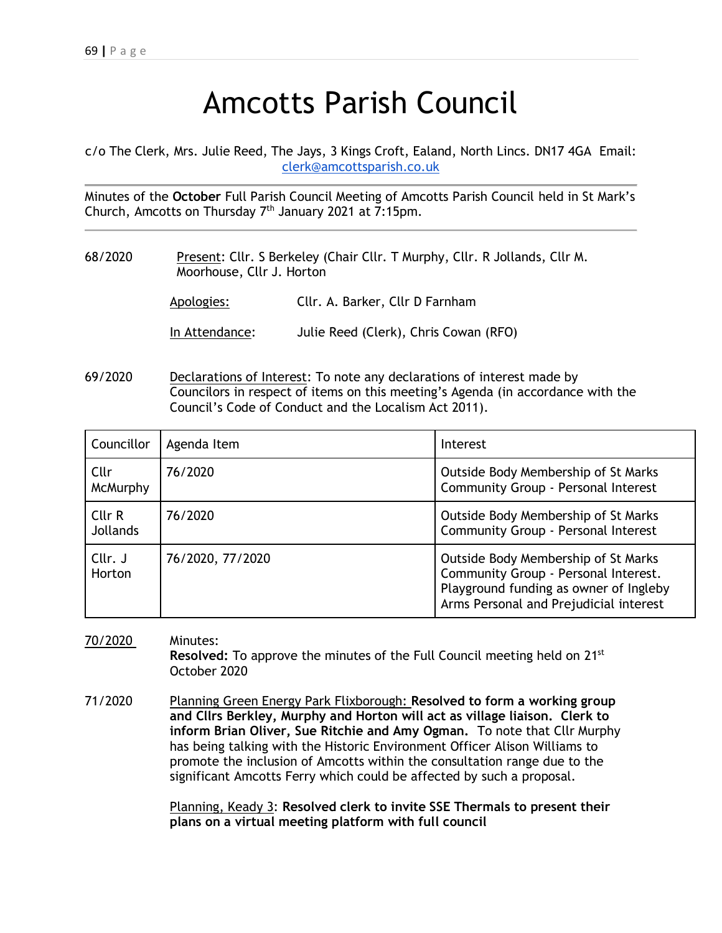## Amcotts Parish Council

c/o The Clerk, Mrs. Julie Reed, The Jays, 3 Kings Croft, Ealand, North Lincs. DN17 4GA Email: [clerk@amcottsparish.co.uk](mailto:clerk@amcottsparish.co.uk)

Minutes of the **October** Full Parish Council Meeting of Amcotts Parish Council held in St Mark's Church, Amcotts on Thursday 7th January 2021 at 7:15pm.

68/2020 Present: Cllr. S Berkeley (Chair Cllr. T Murphy, Cllr. R Jollands, Cllr M. Moorhouse, Cllr J. Horton

| Apologies: | Cllr. A. Barker, Cllr D Farnham |
|------------|---------------------------------|
|            |                                 |

In Attendance: Julie Reed (Clerk), Chris Cowan (RFO)

69/2020 Declarations of Interest: To note any declarations of interest made by Councilors in respect of items on this meeting's Agenda (in accordance with the Council's Code of Conduct and the Localism Act 2011).

| Councillor                | Agenda Item      | Interest                                                                                                                                                        |
|---------------------------|------------------|-----------------------------------------------------------------------------------------------------------------------------------------------------------------|
| Cllr<br><b>McMurphy</b>   | 76/2020          | Outside Body Membership of St Marks<br>Community Group - Personal Interest                                                                                      |
| Cllr R<br><b>Jollands</b> | 76/2020          | Outside Body Membership of St Marks<br>Community Group - Personal Interest                                                                                      |
| Cllr. J<br>Horton         | 76/2020, 77/2020 | Outside Body Membership of St Marks<br>Community Group - Personal Interest.<br>Playground funding as owner of Ingleby<br>Arms Personal and Prejudicial interest |

70/2020 Minutes: **Resolved:** To approve the minutes of the Full Council meeting held on 21<sup>st</sup> October 2020

71/2020 Planning Green Energy Park Flixborough: **Resolved to form a working group and Cllrs Berkley, Murphy and Horton will act as village liaison. Clerk to inform Brian Oliver, Sue Ritchie and Amy Ogman.** To note that Cllr Murphy has being talking with the Historic Environment Officer Alison Williams to promote the inclusion of Amcotts within the consultation range due to the significant Amcotts Ferry which could be affected by such a proposal.

> Planning, Keady 3: **Resolved clerk to invite SSE Thermals to present their plans on a virtual meeting platform with full council**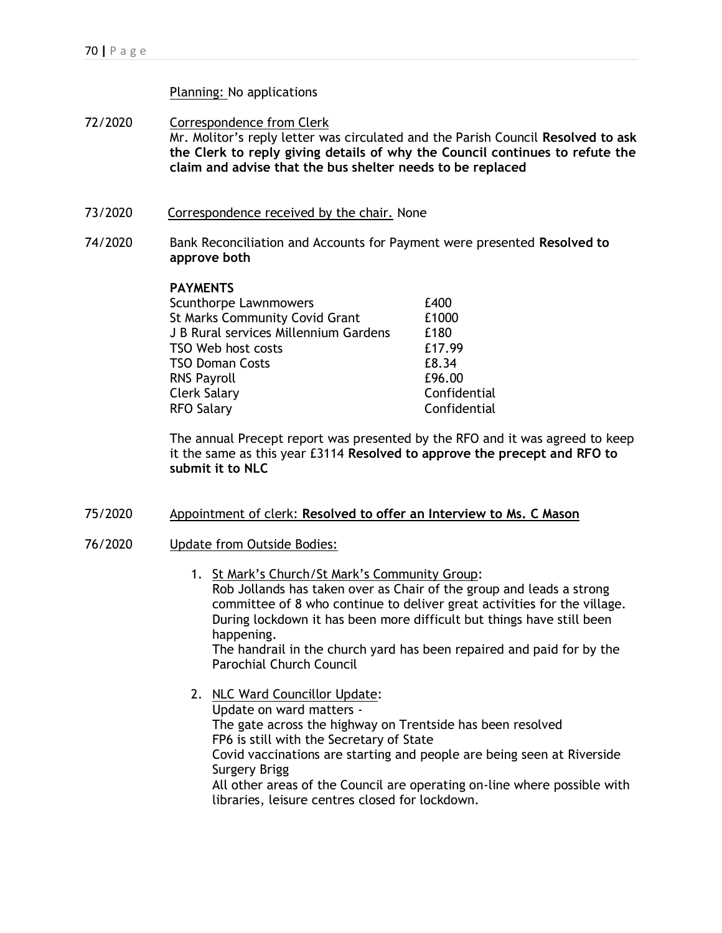## Planning: No applications

- 72/2020 Correspondence from Clerk Mr. Molitor's reply letter was circulated and the Parish Council **Resolved to ask the Clerk to reply giving details of why the Council continues to refute the claim and advise that the bus shelter needs to be replaced**
- 73/2020 Correspondence received by the chair. None
- 74/2020 Bank Reconciliation and Accounts for Payment were presented **Resolved to approve both**

## **PAYMENTS**

| <b>Scunthorpe Lawnmowers</b>          | £400         |
|---------------------------------------|--------------|
| <b>St Marks Community Covid Grant</b> | £1000        |
| J B Rural services Millennium Gardens | £180         |
| TSO Web host costs                    | £17.99       |
| TSO Doman Costs                       | £8.34        |
| <b>RNS Payroll</b>                    | £96.00       |
| Clerk Salary                          | Confidential |
| <b>RFO Salary</b>                     | Confidential |
|                                       |              |

The annual Precept report was presented by the RFO and it was agreed to keep it the same as this year £3114 **Resolved to approve the precept and RFO to submit it to NLC**

- 75/2020 Appointment of clerk: **Resolved to offer an Interview to Ms. C Mason**
- 76/2020 Update from Outside Bodies:
	- 1. St Mark's Church/St Mark's Community Group: Rob Jollands has taken over as Chair of the group and leads a strong committee of 8 who continue to deliver great activities for the village. During lockdown it has been more difficult but things have still been happening. The handrail in the church yard has been repaired and paid for by the Parochial Church Council
	- 2. NLC Ward Councillor Update: Update on ward matters - The gate across the highway on Trentside has been resolved FP6 is still with the Secretary of State Covid vaccinations are starting and people are being seen at Riverside Surgery Brigg All other areas of the Council are operating on-line where possible with libraries, leisure centres closed for lockdown.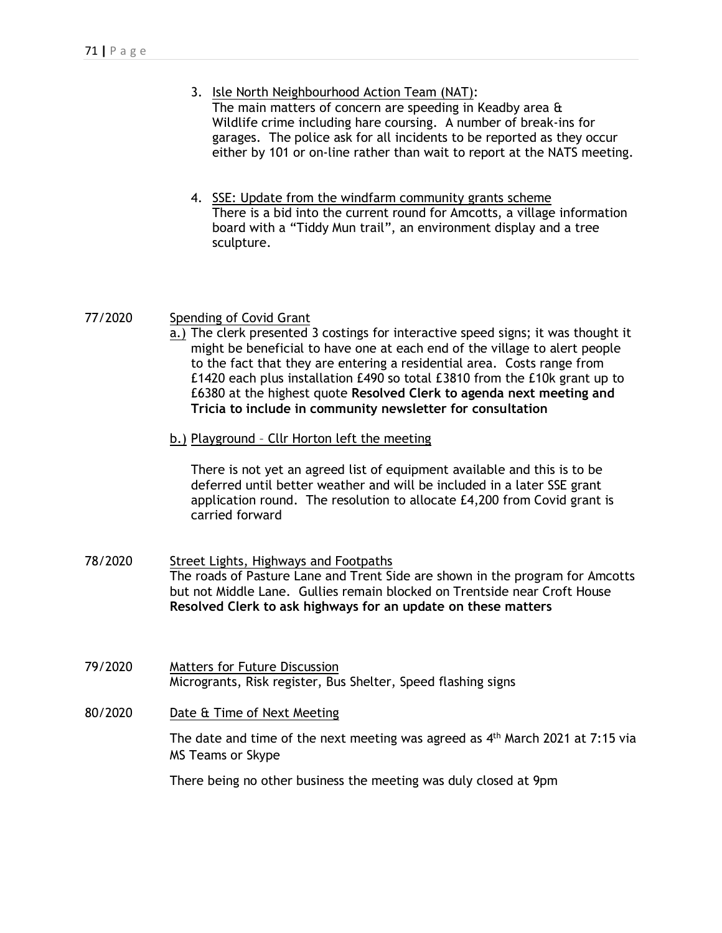- 3. Isle North Neighbourhood Action Team (NAT): The main matters of concern are speeding in Keadby area & Wildlife crime including hare coursing. A number of break-ins for garages. The police ask for all incidents to be reported as they occur either by 101 or on-line rather than wait to report at the NATS meeting.
- 4. SSE: Update from the windfarm community grants scheme There is a bid into the current round for Amcotts, a village information board with a "Tiddy Mun trail", an environment display and a tree sculpture.

## 77/2020 Spending of Covid Grant

- a.) The clerk presented 3 costings for interactive speed signs; it was thought it might be beneficial to have one at each end of the village to alert people to the fact that they are entering a residential area. Costs range from £1420 each plus installation £490 so total £3810 from the £10k grant up to £6380 at the highest quote **Resolved Clerk to agenda next meeting and Tricia to include in community newsletter for consultation**
- b.) Playground Cllr Horton left the meeting

There is not yet an agreed list of equipment available and this is to be deferred until better weather and will be included in a later SSE grant application round. The resolution to allocate £4,200 from Covid grant is carried forward

- 78/2020 Street Lights, Highways and Footpaths The roads of Pasture Lane and Trent Side are shown in the program for Amcotts but not Middle Lane. Gullies remain blocked on Trentside near Croft House **Resolved Clerk to ask highways for an update on these matters**
- 79/2020 Matters for Future Discussion Microgrants, Risk register, Bus Shelter, Speed flashing signs
- 80/2020 Date & Time of Next Meeting

The date and time of the next meeting was agreed as 4<sup>th</sup> March 2021 at 7:15 via MS Teams or Skype

There being no other business the meeting was duly closed at 9pm